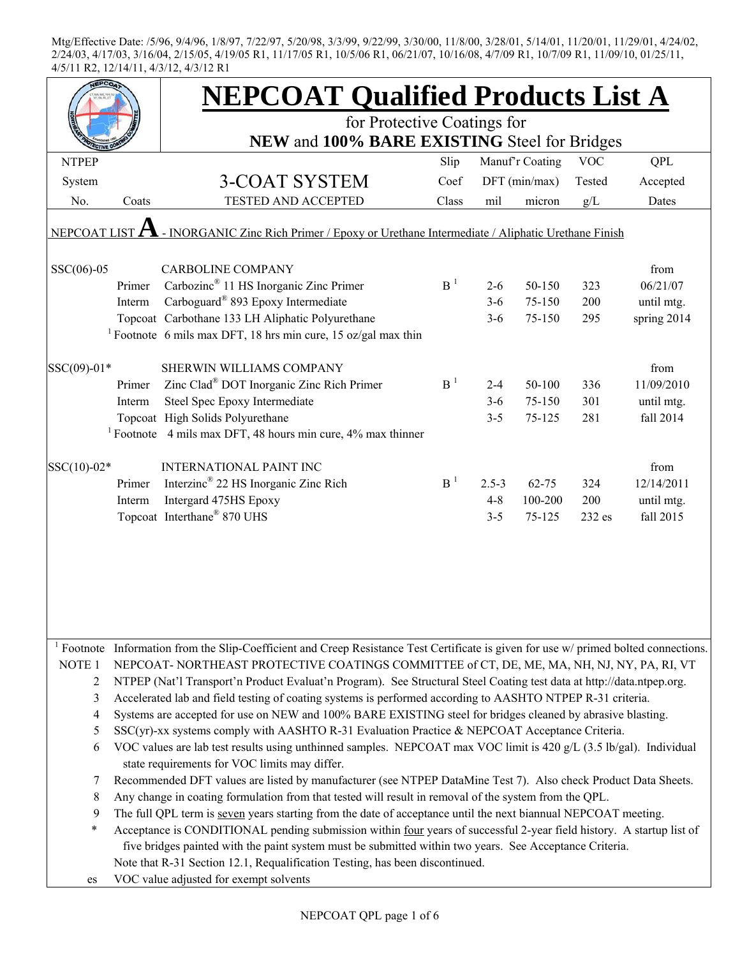|                   |                                                                                                                                                                     | <b>NEPCOAT Qualified Products List A</b>                                                                                                          |                |           |                 |            |             |  |
|-------------------|---------------------------------------------------------------------------------------------------------------------------------------------------------------------|---------------------------------------------------------------------------------------------------------------------------------------------------|----------------|-----------|-----------------|------------|-------------|--|
|                   |                                                                                                                                                                     | for Protective Coatings for<br>NEW and 100% BARE EXISTING Steel for Bridges                                                                       |                |           |                 |            |             |  |
|                   |                                                                                                                                                                     |                                                                                                                                                   |                |           |                 |            |             |  |
| <b>NTPEP</b>      |                                                                                                                                                                     |                                                                                                                                                   | Slip           |           | Manuf'r Coating | <b>VOC</b> | QPL         |  |
| System            |                                                                                                                                                                     | 3-COAT SYSTEM                                                                                                                                     | Coef           |           | DFT (min/max)   | Tested     | Accepted    |  |
| No.               | Coats                                                                                                                                                               | <b>TESTED AND ACCEPTED</b>                                                                                                                        | Class          | mil       | micron          | g/L        | Dates       |  |
|                   |                                                                                                                                                                     | NEPCOAT LIST $\bf{A}$ - INORGANIC Zinc Rich Primer / Epoxy or Urethane Intermediate / Aliphatic Urethane Finish                                   |                |           |                 |            |             |  |
| $SSC(06)-05$      |                                                                                                                                                                     | <b>CARBOLINE COMPANY</b>                                                                                                                          |                |           |                 |            | from        |  |
|                   | Primer                                                                                                                                                              | Carbozinc <sup>®</sup> 11 HS Inorganic Zinc Primer                                                                                                | B <sup>1</sup> | $2 - 6$   | 50-150          | 323        | 06/21/07    |  |
|                   | Interm                                                                                                                                                              | Carboguard® 893 Epoxy Intermediate                                                                                                                |                | $3-6$     | 75-150          | 200        | until mtg.  |  |
|                   |                                                                                                                                                                     | Topcoat Carbothane 133 LH Aliphatic Polyurethane                                                                                                  |                | $3 - 6$   | 75-150          | 295        | spring 2014 |  |
|                   |                                                                                                                                                                     | <sup>1</sup> Footnote 6 mils max DFT, 18 hrs min cure, 15 oz/gal max thin                                                                         |                |           |                 |            |             |  |
| SSC(09)-01*       |                                                                                                                                                                     | SHERWIN WILLIAMS COMPANY                                                                                                                          |                |           |                 |            | from        |  |
|                   | Primer                                                                                                                                                              | Zinc Clad <sup>®</sup> DOT Inorganic Zinc Rich Primer                                                                                             | B <sup>1</sup> | $2 - 4$   | 50-100          | 336        | 11/09/2010  |  |
|                   | Interm                                                                                                                                                              | Steel Spec Epoxy Intermediate                                                                                                                     |                | $3 - 6$   | 75-150          | 301        | until mtg.  |  |
|                   |                                                                                                                                                                     | Topcoat High Solids Polyurethane                                                                                                                  |                | $3 - 5$   | 75-125          | 281        | fall 2014   |  |
|                   |                                                                                                                                                                     | <sup>1</sup> Footnote 4 mils max DFT, 48 hours min cure, $4\%$ max thinner                                                                        |                |           |                 |            |             |  |
| SSC(10)-02*       |                                                                                                                                                                     | <b>INTERNATIONAL PAINT INC</b>                                                                                                                    |                |           |                 |            | from        |  |
|                   | Primer                                                                                                                                                              | Interzinc <sup>®</sup> 22 HS Inorganic Zinc Rich                                                                                                  | B <sup>1</sup> | $2.5 - 3$ | $62 - 75$       | 324        | 12/14/2011  |  |
|                   | Interm                                                                                                                                                              | Intergard 475HS Epoxy                                                                                                                             |                | $4 - 8$   | 100-200         | 200        | until mtg.  |  |
|                   |                                                                                                                                                                     | Topcoat Interthane® 870 UHS                                                                                                                       |                | $3 - 5$   | 75-125          | 232 es     | fall 2015   |  |
|                   |                                                                                                                                                                     |                                                                                                                                                   |                |           |                 |            |             |  |
|                   |                                                                                                                                                                     | <sup>1</sup> Footnote Information from the Slip-Coefficient and Creep Resistance Test Certificate is given for use $w$ primed bolted connections. |                |           |                 |            |             |  |
| NOTE <sub>1</sub> |                                                                                                                                                                     | NEPCOAT-NORTHEAST PROTECTIVE COATINGS COMMITTEE of CT, DE, ME, MA, NH, NJ, NY, PA, RI, VT                                                         |                |           |                 |            |             |  |
| 2                 |                                                                                                                                                                     | NTPEP (Nat'l Transport'n Product Evaluat'n Program). See Structural Steel Coating test data at http://data.ntpep.org.                             |                |           |                 |            |             |  |
| 3                 | Accelerated lab and field testing of coating systems is performed according to AASHTO NTPEP R-31 criteria.                                                          |                                                                                                                                                   |                |           |                 |            |             |  |
| 4<br>5            | Systems are accepted for use on NEW and 100% BARE EXISTING steel for bridges cleaned by abrasive blasting.                                                          |                                                                                                                                                   |                |           |                 |            |             |  |
| 6                 | $SSC(yr)$ -xx systems comply with AASHTO R-31 Evaluation Practice & NEPCOAT Acceptance Criteria.                                                                    |                                                                                                                                                   |                |           |                 |            |             |  |
|                   | VOC values are lab test results using unthinned samples. NEPCOAT max VOC limit is 420 g/L (3.5 lb/gal). Individual<br>state requirements for VOC limits may differ. |                                                                                                                                                   |                |           |                 |            |             |  |
| 7                 |                                                                                                                                                                     | Recommended DFT values are listed by manufacturer (see NTPEP DataMine Test 7). Also check Product Data Sheets.                                    |                |           |                 |            |             |  |
| 8                 |                                                                                                                                                                     | Any change in coating formulation from that tested will result in removal of the system from the QPL.                                             |                |           |                 |            |             |  |
| 9                 |                                                                                                                                                                     | The full QPL term is seven years starting from the date of acceptance until the next biannual NEPCOAT meeting.                                    |                |           |                 |            |             |  |
| $\ast$            |                                                                                                                                                                     | Acceptance is CONDITIONAL pending submission within four years of successful 2-year field history. A startup list of                              |                |           |                 |            |             |  |
|                   |                                                                                                                                                                     | five bridges painted with the paint system must be submitted within two years. See Acceptance Criteria.                                           |                |           |                 |            |             |  |
|                   |                                                                                                                                                                     | Note that R-31 Section 12.1, Requalification Testing, has been discontinued.                                                                      |                |           |                 |            |             |  |
| es                |                                                                                                                                                                     | VOC value adjusted for exempt solvents                                                                                                            |                |           |                 |            |             |  |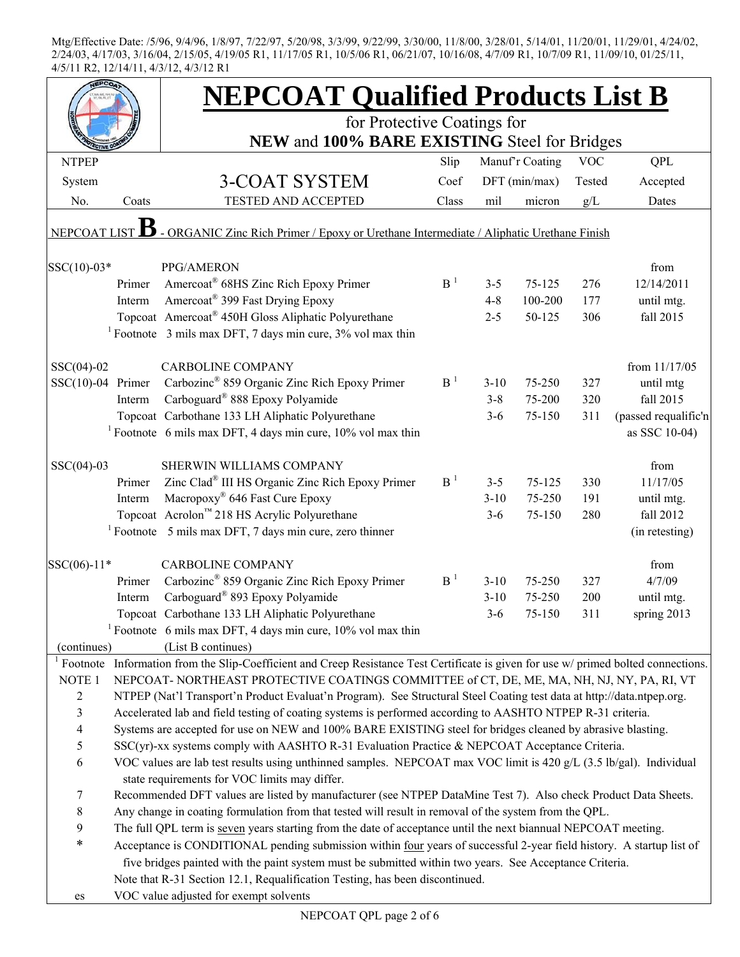|                     |        | <b>NEPCOAT Qualified Products List B</b>                                                                                            |                |          |                 |            |                      |  |
|---------------------|--------|-------------------------------------------------------------------------------------------------------------------------------------|----------------|----------|-----------------|------------|----------------------|--|
|                     |        | for Protective Coatings for                                                                                                         |                |          |                 |            |                      |  |
|                     |        | NEW and 100% BARE EXISTING Steel for Bridges                                                                                        |                |          |                 |            |                      |  |
| <b>NTPEP</b>        |        |                                                                                                                                     | Slip           |          | Manuf'r Coating | <b>VOC</b> | QPL                  |  |
| System              |        | 3-COAT SYSTEM                                                                                                                       | Coef           |          | $DFT$ (min/max) | Tested     | Accepted             |  |
| No.                 | Coats  | <b>TESTED AND ACCEPTED</b>                                                                                                          | Class          | mil      | micron          | g/L        | Dates                |  |
| NEPCOAT LIST        |        | - ORGANIC Zinc Rich Primer / Epoxy or Urethane Intermediate / Aliphatic Urethane Finish                                             |                |          |                 |            |                      |  |
| SSC(10)-03*         |        | PPG/AMERON                                                                                                                          |                |          |                 |            | from                 |  |
|                     | Primer | Amercoat® 68HS Zinc Rich Epoxy Primer                                                                                               | B <sup>1</sup> | $3 - 5$  | 75-125          | 276        | 12/14/2011           |  |
|                     | Interm | Amercoat <sup>®</sup> 399 Fast Drying Epoxy                                                                                         |                | $4 - 8$  | 100-200         | 177        | until mtg.           |  |
|                     |        | Topcoat Amercoat <sup>®</sup> 450H Gloss Aliphatic Polyurethane                                                                     |                | $2 - 5$  | 50-125          | 306        | fall 2015            |  |
|                     |        | <sup>1</sup> Footnote $\,$ 3 mils max DFT, 7 days min cure, 3% vol max thin                                                         |                |          |                 |            |                      |  |
| $SSC(04)-02$        |        | <b>CARBOLINE COMPANY</b>                                                                                                            |                |          |                 |            | from 11/17/05        |  |
| $SSC(10)-04$ Primer |        | Carbozinc <sup>®</sup> 859 Organic Zinc Rich Epoxy Primer                                                                           | B <sup>1</sup> | $3 - 10$ | 75-250          | 327        | until mtg            |  |
|                     | Interm | Carboguard <sup>®</sup> 888 Epoxy Polyamide                                                                                         |                | $3 - 8$  | 75-200          | 320        | fall 2015            |  |
|                     |        | Topcoat Carbothane 133 LH Aliphatic Polyurethane                                                                                    |                | $3-6$    | 75-150          | 311        | (passed requalific'n |  |
|                     |        | <sup>1</sup> Footnote 6 mils max DFT, 4 days min cure, $10\%$ vol max thin                                                          |                |          |                 |            | as SSC 10-04)        |  |
| $SSC(04)-03$        |        | SHERWIN WILLIAMS COMPANY                                                                                                            |                |          |                 |            | from                 |  |
|                     | Primer | Zinc Clad <sup>®</sup> III HS Organic Zinc Rich Epoxy Primer                                                                        | B <sup>1</sup> | $3 - 5$  | 75-125          | 330        | 11/17/05             |  |
|                     | Interm | Macropoxy <sup>®</sup> 646 Fast Cure Epoxy                                                                                          |                | $3 - 10$ | 75-250          | 191        | until mtg.           |  |
|                     |        | Topcoat Acrolon™ 218 HS Acrylic Polyurethane                                                                                        |                | $3 - 6$  | 75-150          | 280        | fall 2012            |  |
|                     |        | <sup>1</sup> Footnote $\overline{5}$ mils max DFT, 7 days min cure, zero thinner                                                    |                |          |                 |            | (in retesting)       |  |
|                     |        |                                                                                                                                     |                |          |                 |            |                      |  |
| SSC(06)-11*         |        | <b>CARBOLINE COMPANY</b>                                                                                                            |                |          |                 |            | from                 |  |
|                     | Primer | Carbozinc <sup>®</sup> 859 Organic Zinc Rich Epoxy Primer                                                                           | B <sup>1</sup> | $3 - 10$ | 75-250          | 327        | 4/7/09               |  |
|                     | Interm | Carboguard <sup>®</sup> 893 Epoxy Polyamide                                                                                         |                | $3-10$   | 75-250          | 200        | until mtg.           |  |
|                     |        | Topcoat Carbothane 133 LH Aliphatic Polyurethane                                                                                    |                | $3-6$    | 75-150          | 311        | spring 2013          |  |
|                     |        | <sup>1</sup> Footnote 6 mils max DFT, 4 days min cure, $10\%$ vol max thin                                                          |                |          |                 |            |                      |  |
| (continues)         |        | (List B continues)                                                                                                                  |                |          |                 |            |                      |  |
|                     |        | Footnote Information from the Slip-Coefficient and Creep Resistance Test Certificate is given for use w/ primed bolted connections. |                |          |                 |            |                      |  |
| NOTE <sub>1</sub>   |        | NEPCOAT-NORTHEAST PROTECTIVE COATINGS COMMITTEE of CT, DE, ME, MA, NH, NJ, NY, PA, RI, VT                                           |                |          |                 |            |                      |  |
| $\overline{c}$      |        | NTPEP (Nat'l Transport'n Product Evaluat'n Program). See Structural Steel Coating test data at http://data.ntpep.org.               |                |          |                 |            |                      |  |
| $\mathfrak{Z}$      |        | Accelerated lab and field testing of coating systems is performed according to AASHTO NTPEP R-31 criteria.                          |                |          |                 |            |                      |  |
| $\overline{4}$      |        | Systems are accepted for use on NEW and 100% BARE EXISTING steel for bridges cleaned by abrasive blasting.                          |                |          |                 |            |                      |  |
| $\mathfrak s$       |        | SSC(yr)-xx systems comply with AASHTO R-31 Evaluation Practice & NEPCOAT Acceptance Criteria.                                       |                |          |                 |            |                      |  |
| 6                   |        | VOC values are lab test results using unthinned samples. NEPCOAT max VOC limit is 420 g/L (3.5 lb/gal). Individual                  |                |          |                 |            |                      |  |
|                     |        | state requirements for VOC limits may differ.                                                                                       |                |          |                 |            |                      |  |
| $\tau$              |        | Recommended DFT values are listed by manufacturer (see NTPEP DataMine Test 7). Also check Product Data Sheets.                      |                |          |                 |            |                      |  |
| $8\,$               |        | Any change in coating formulation from that tested will result in removal of the system from the QPL.                               |                |          |                 |            |                      |  |
| 9                   |        | The full QPL term is seven years starting from the date of acceptance until the next biannual NEPCOAT meeting.                      |                |          |                 |            |                      |  |
| $\ast$              |        | Acceptance is CONDITIONAL pending submission within four years of successful 2-year field history. A startup list of                |                |          |                 |            |                      |  |
|                     |        | five bridges painted with the paint system must be submitted within two years. See Acceptance Criteria.                             |                |          |                 |            |                      |  |
|                     |        | Note that R-31 Section 12.1, Requalification Testing, has been discontinued.                                                        |                |          |                 |            |                      |  |
| es                  |        | VOC value adjusted for exempt solvents                                                                                              |                |          |                 |            |                      |  |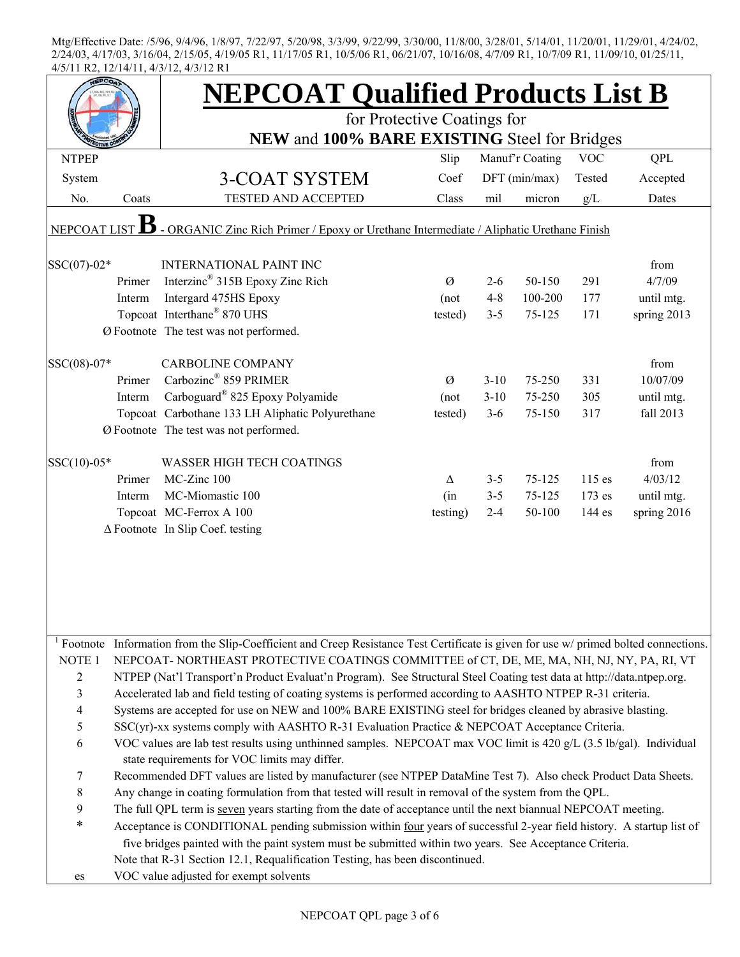|                                  |                                                                                                                                                                                                                                     | <b>NEPCOAT Qualified Products List B</b>                                                                                                                            |          |          |                 |            |             |  |
|----------------------------------|-------------------------------------------------------------------------------------------------------------------------------------------------------------------------------------------------------------------------------------|---------------------------------------------------------------------------------------------------------------------------------------------------------------------|----------|----------|-----------------|------------|-------------|--|
|                                  |                                                                                                                                                                                                                                     | for Protective Coatings for                                                                                                                                         |          |          |                 |            |             |  |
|                                  |                                                                                                                                                                                                                                     | NEW and 100% BARE EXISTING Steel for Bridges                                                                                                                        |          |          |                 |            |             |  |
| <b>NTPEP</b>                     |                                                                                                                                                                                                                                     |                                                                                                                                                                     | Slip     |          | Manuf'r Coating | <b>VOC</b> | QPL         |  |
| System                           |                                                                                                                                                                                                                                     | 3-COAT SYSTEM                                                                                                                                                       | Coef     |          | DFT (min/max)   | Tested     | Accepted    |  |
| No.                              | Coats                                                                                                                                                                                                                               | TESTED AND ACCEPTED                                                                                                                                                 | Class    | mil      | micron          | g/L        | Dates       |  |
| NEPCOAT LIST                     |                                                                                                                                                                                                                                     | - ORGANIC Zinc Rich Primer / Epoxy or Urethane Intermediate / Aliphatic Urethane Finish                                                                             |          |          |                 |            |             |  |
| SSC(07)-02*                      |                                                                                                                                                                                                                                     | <b>INTERNATIONAL PAINT INC</b>                                                                                                                                      |          |          |                 |            | from        |  |
|                                  | Primer                                                                                                                                                                                                                              | Interzinc <sup>®</sup> 315B Epoxy Zinc Rich                                                                                                                         | Ø        | $2 - 6$  | 50-150          | 291        | 4/7/09      |  |
|                                  | Interm                                                                                                                                                                                                                              | Intergard 475HS Epoxy                                                                                                                                               | (not     | $4 - 8$  | 100-200         | 177        | until mtg.  |  |
|                                  |                                                                                                                                                                                                                                     | Topcoat Interthane® 870 UHS                                                                                                                                         | tested)  | $3 - 5$  | 75-125          | 171        | spring 2013 |  |
|                                  |                                                                                                                                                                                                                                     | Ø Footnote The test was not performed.                                                                                                                              |          |          |                 |            |             |  |
| SSC(08)-07*                      |                                                                                                                                                                                                                                     | <b>CARBOLINE COMPANY</b>                                                                                                                                            |          |          |                 |            | from        |  |
|                                  | Primer                                                                                                                                                                                                                              | Carbozinc <sup>®</sup> 859 PRIMER                                                                                                                                   | Ø        | $3 - 10$ | 75-250          | 331        | 10/07/09    |  |
|                                  | Interm                                                                                                                                                                                                                              | Carboguard <sup>®</sup> 825 Epoxy Polyamide                                                                                                                         | (not     | $3 - 10$ | 75-250          | 305        | until mtg.  |  |
|                                  |                                                                                                                                                                                                                                     | Topcoat Carbothane 133 LH Aliphatic Polyurethane                                                                                                                    | tested)  | $3 - 6$  | 75-150          | 317        | fall 2013   |  |
|                                  |                                                                                                                                                                                                                                     | Ø Footnote The test was not performed.                                                                                                                              |          |          |                 |            |             |  |
| $SSC(10)-05*$                    |                                                                                                                                                                                                                                     | <b>WASSER HIGH TECH COATINGS</b>                                                                                                                                    |          |          |                 |            | from        |  |
|                                  | Primer                                                                                                                                                                                                                              | MC-Zinc 100                                                                                                                                                         | Δ        | $3 - 5$  | 75-125          | $115$ es   | 4/03/12     |  |
|                                  | Interm                                                                                                                                                                                                                              | MC-Miomastic 100                                                                                                                                                    | (in      | $3 - 5$  | 75-125          | 173 es     | until mtg.  |  |
|                                  |                                                                                                                                                                                                                                     | Topcoat MC-Ferrox A 100                                                                                                                                             | testing) | $2 - 4$  | 50-100          | 144 es     | spring 2016 |  |
|                                  |                                                                                                                                                                                                                                     | $\Delta$ Footnote In Slip Coef. testing                                                                                                                             |          |          |                 |            |             |  |
|                                  |                                                                                                                                                                                                                                     |                                                                                                                                                                     |          |          |                 |            |             |  |
|                                  |                                                                                                                                                                                                                                     |                                                                                                                                                                     |          |          |                 |            |             |  |
|                                  |                                                                                                                                                                                                                                     |                                                                                                                                                                     |          |          |                 |            |             |  |
|                                  |                                                                                                                                                                                                                                     | <sup>1</sup> Footnote Information from the Slip-Coefficient and Creep Resistance Test Certificate is given for use w/ primed bolted connections.                    |          |          |                 |            |             |  |
| NOTE <sub>1</sub>                |                                                                                                                                                                                                                                     | NEPCOAT-NORTHEAST PROTECTIVE COATINGS COMMITTEE of CT, DE, ME, MA, NH, NJ, NY, PA, RI, VT                                                                           |          |          |                 |            |             |  |
| $\overline{c}$                   | NTPEP (Nat'l Transport'n Product Evaluat'n Program). See Structural Steel Coating test data at http://data.ntpep.org.<br>Accelerated lab and field testing of coating systems is performed according to AASHTO NTPEP R-31 criteria. |                                                                                                                                                                     |          |          |                 |            |             |  |
| $\mathfrak{Z}$<br>$\overline{4}$ |                                                                                                                                                                                                                                     |                                                                                                                                                                     |          |          |                 |            |             |  |
| 5                                | Systems are accepted for use on NEW and 100% BARE EXISTING steel for bridges cleaned by abrasive blasting.                                                                                                                          |                                                                                                                                                                     |          |          |                 |            |             |  |
| 6                                |                                                                                                                                                                                                                                     | SSC(yr)-xx systems comply with AASHTO R-31 Evaluation Practice & NEPCOAT Acceptance Criteria.                                                                       |          |          |                 |            |             |  |
|                                  |                                                                                                                                                                                                                                     | VOC values are lab test results using unthinned samples. NEPCOAT max VOC limit is 420 g/L (3.5 lb/gal). Individual<br>state requirements for VOC limits may differ. |          |          |                 |            |             |  |
| 7                                |                                                                                                                                                                                                                                     | Recommended DFT values are listed by manufacturer (see NTPEP DataMine Test 7). Also check Product Data Sheets.                                                      |          |          |                 |            |             |  |
| $8\,$                            |                                                                                                                                                                                                                                     | Any change in coating formulation from that tested will result in removal of the system from the QPL.                                                               |          |          |                 |            |             |  |
| 9                                |                                                                                                                                                                                                                                     | The full QPL term is seven years starting from the date of acceptance until the next biannual NEPCOAT meeting.                                                      |          |          |                 |            |             |  |
| $\ast$                           |                                                                                                                                                                                                                                     | Acceptance is CONDITIONAL pending submission within four years of successful 2-year field history. A startup list of                                                |          |          |                 |            |             |  |
|                                  |                                                                                                                                                                                                                                     | five bridges painted with the paint system must be submitted within two years. See Acceptance Criteria.                                                             |          |          |                 |            |             |  |
|                                  |                                                                                                                                                                                                                                     | Note that R-31 Section 12.1, Requalification Testing, has been discontinued.                                                                                        |          |          |                 |            |             |  |
| es                               |                                                                                                                                                                                                                                     | VOC value adjusted for exempt solvents                                                                                                                              |          |          |                 |            |             |  |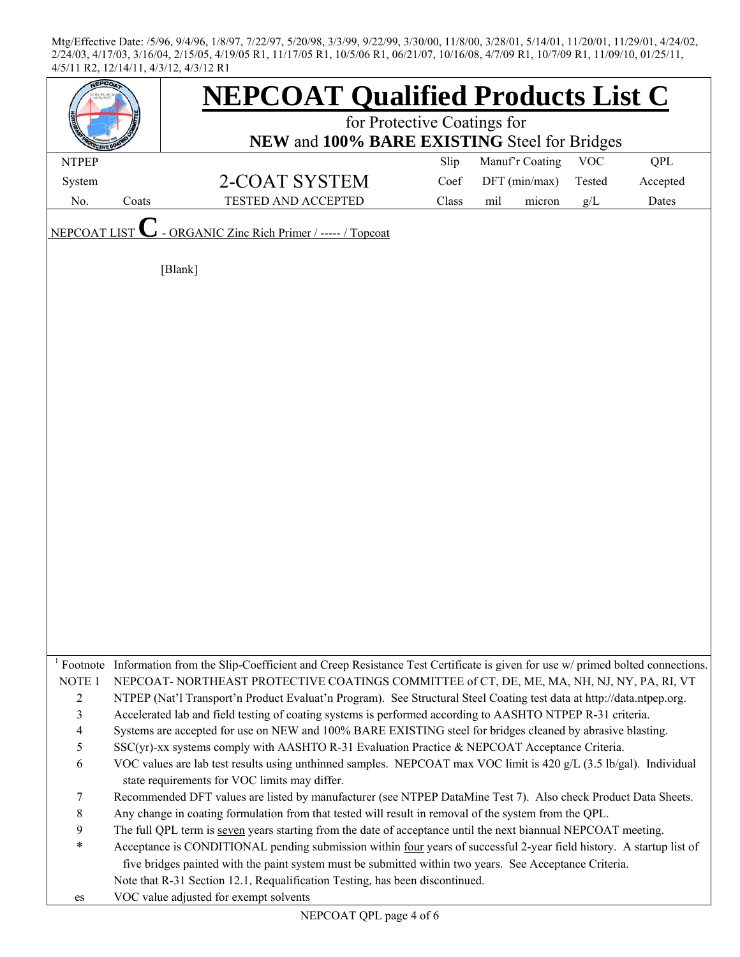| EPCO.             |       | <b>NEPCOAT Qualified Products List C</b>                                                                                            |       |                 |            |          |  |  |
|-------------------|-------|-------------------------------------------------------------------------------------------------------------------------------------|-------|-----------------|------------|----------|--|--|
|                   |       | for Protective Coatings for                                                                                                         |       |                 |            |          |  |  |
|                   |       | NEW and 100% BARE EXISTING Steel for Bridges                                                                                        |       |                 |            |          |  |  |
| <b>NTPEP</b>      |       |                                                                                                                                     | Slip  | Manuf'r Coating | <b>VOC</b> | QPL      |  |  |
| System            |       | 2-COAT SYSTEM                                                                                                                       | Coef  | DFT (min/max)   | Tested     | Accepted |  |  |
| No.               | Coats | TESTED AND ACCEPTED                                                                                                                 | Class | mil<br>micron   | $g/L$      | Dates    |  |  |
| NEPCOAT LIST      |       | - ORGANIC Zinc Rich Primer / ----- / Topcoat                                                                                        |       |                 |            |          |  |  |
|                   |       | [Blank]                                                                                                                             |       |                 |            |          |  |  |
|                   |       |                                                                                                                                     |       |                 |            |          |  |  |
|                   |       |                                                                                                                                     |       |                 |            |          |  |  |
|                   |       |                                                                                                                                     |       |                 |            |          |  |  |
|                   |       |                                                                                                                                     |       |                 |            |          |  |  |
|                   |       |                                                                                                                                     |       |                 |            |          |  |  |
|                   |       |                                                                                                                                     |       |                 |            |          |  |  |
|                   |       |                                                                                                                                     |       |                 |            |          |  |  |
|                   |       |                                                                                                                                     |       |                 |            |          |  |  |
|                   |       |                                                                                                                                     |       |                 |            |          |  |  |
|                   |       |                                                                                                                                     |       |                 |            |          |  |  |
|                   |       |                                                                                                                                     |       |                 |            |          |  |  |
|                   |       |                                                                                                                                     |       |                 |            |          |  |  |
|                   |       |                                                                                                                                     |       |                 |            |          |  |  |
|                   |       |                                                                                                                                     |       |                 |            |          |  |  |
|                   |       |                                                                                                                                     |       |                 |            |          |  |  |
|                   |       |                                                                                                                                     |       |                 |            |          |  |  |
|                   |       |                                                                                                                                     |       |                 |            |          |  |  |
|                   |       |                                                                                                                                     |       |                 |            |          |  |  |
|                   |       |                                                                                                                                     |       |                 |            |          |  |  |
|                   |       |                                                                                                                                     |       |                 |            |          |  |  |
|                   |       |                                                                                                                                     |       |                 |            |          |  |  |
|                   |       | Footnote Information from the Slip-Coefficient and Creep Resistance Test Certificate is given for use w/ primed bolted connections. |       |                 |            |          |  |  |
| NOTE <sub>1</sub> |       | NEPCOAT-NORTHEAST PROTECTIVE COATINGS COMMITTEE of CT, DE, ME, MA, NH, NJ, NY, PA, RI, VT                                           |       |                 |            |          |  |  |
| $\overline{2}$    |       | NTPEP (Nat'l Transport'n Product Evaluat'n Program). See Structural Steel Coating test data at http://data.ntpep.org.               |       |                 |            |          |  |  |
| $\mathfrak{Z}$    |       | Accelerated lab and field testing of coating systems is performed according to AASHTO NTPEP R-31 criteria.                          |       |                 |            |          |  |  |
| $\overline{4}$    |       | Systems are accepted for use on NEW and 100% BARE EXISTING steel for bridges cleaned by abrasive blasting.                          |       |                 |            |          |  |  |
| 5                 |       | SSC(yr)-xx systems comply with AASHTO R-31 Evaluation Practice & NEPCOAT Acceptance Criteria.                                       |       |                 |            |          |  |  |
| 6                 |       | VOC values are lab test results using unthinned samples. NEPCOAT max VOC limit is 420 g/L (3.5 lb/gal). Individual                  |       |                 |            |          |  |  |
|                   |       | state requirements for VOC limits may differ.                                                                                       |       |                 |            |          |  |  |
| 7                 |       | Recommended DFT values are listed by manufacturer (see NTPEP DataMine Test 7). Also check Product Data Sheets.                      |       |                 |            |          |  |  |
| $8\,$             |       | Any change in coating formulation from that tested will result in removal of the system from the QPL.                               |       |                 |            |          |  |  |
| 9                 |       | The full QPL term is seven years starting from the date of acceptance until the next biannual NEPCOAT meeting.                      |       |                 |            |          |  |  |
| $\ast$            |       | Acceptance is CONDITIONAL pending submission within four years of successful 2-year field history. A startup list of                |       |                 |            |          |  |  |
|                   |       | five bridges painted with the paint system must be submitted within two years. See Acceptance Criteria.                             |       |                 |            |          |  |  |
|                   |       | Note that R-31 Section 12.1, Requalification Testing, has been discontinued.                                                        |       |                 |            |          |  |  |
| es                |       | VOC value adjusted for exempt solvents                                                                                              |       |                 |            |          |  |  |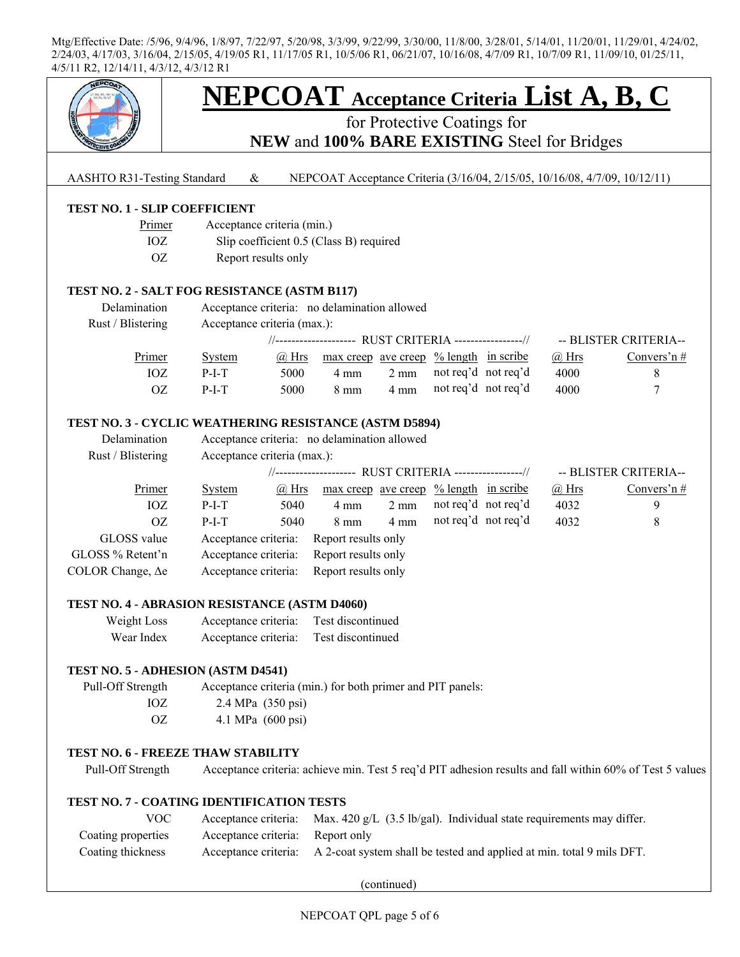

(continued)